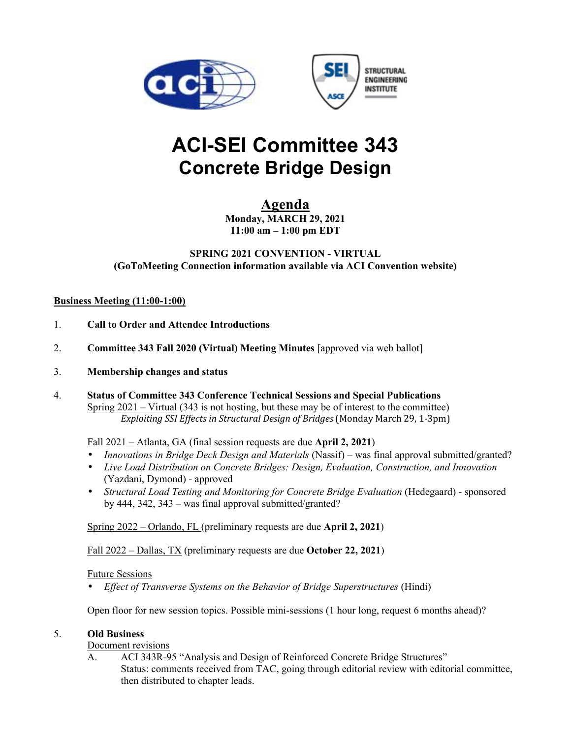



# **ACI-SEI Committee 343 Concrete Bridge Design**

# **Agenda**

**Monday, MARCH 29, 2021 11:00 am – 1:00 pm EDT** 

## **SPRING 2021 CONVENTION - VIRTUAL (GoToMeeting Connection information available via ACI Convention website)**

### **Business Meeting (11:00-1:00)**

- 1. **Call to Order and Attendee Introductions**
- 2. **Committee 343 Fall 2020 (Virtual) Meeting Minutes** [approved via web ballot]
- 3. **Membership changes and status**
- 4. **Status of Committee 343 Conference Technical Sessions and Special Publications** Spring  $2021 - \text{Virtual}$  (343 is not hosting, but these may be of interest to the committee) *Exploiting SSI Effects in Structural Design of Bridges* (Monday March 29, 1-3pm)

# Fall 2021 – Atlanta, GA (final session requests are due **April 2, 2021**)

- *Innovations in Bridge Deck Design and Materials* (Nassif) was final approval submitted/granted?
- *Live Load Distribution on Concrete Bridges: Design, Evaluation, Construction, and Innovation* (Yazdani, Dymond) - approved
- *Structural Load Testing and Monitoring for Concrete Bridge Evaluation* (Hedegaard) sponsored by 444, 342, 343 – was final approval submitted/granted?

Spring 2022 – Orlando, FL (preliminary requests are due **April 2, 2021**)

Fall 2022 – Dallas, TX (preliminary requests are due **October 22, 2021**)

### Future Sessions

• *Effect of Transverse Systems on the Behavior of Bridge Superstructures* (Hindi)

Open floor for new session topics. Possible mini-sessions (1 hour long, request 6 months ahead)?

### 5. **Old Business**

Document revisions

ACI 343R-95 "Analysis and Design of Reinforced Concrete Bridge Structures" Status: comments received from TAC, going through editorial review with editorial committee, then distributed to chapter leads.